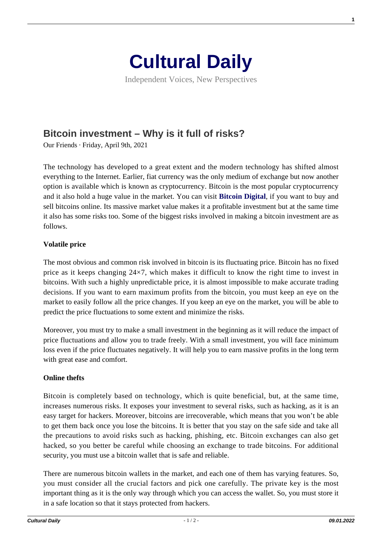

Independent Voices, New Perspectives

# **[Bitcoin investment – Why is it full of risks?](https://culturaldaily.com/bitcoin-investment-why-is-it-full-of-risks/)**

Our Friends · Friday, April 9th, 2021

The technology has developed to a great extent and the modern technology has shifted almost everything to the Internet. Earlier, fiat currency was the only medium of exchange but now another option is available which is known as cryptocurrency. Bitcoin is the most popular cryptocurrency and it also hold a huge value in the market. You can visit **[Bitcoin Digital](https://bitcoin-digital.app/)**, if you want to buy and sell bitcoins online. Its massive market value makes it a profitable investment but at the same time it also has some risks too. Some of the biggest risks involved in making a bitcoin investment are as follows.

## **Volatile price**

The most obvious and common risk involved in bitcoin is its fluctuating price. Bitcoin has no fixed price as it keeps changing  $24\times7$ , which makes it difficult to know the right time to invest in bitcoins. With such a highly unpredictable price, it is almost impossible to make accurate trading decisions. If you want to earn maximum profits from the bitcoin, you must keep an eye on the market to easily follow all the price changes. If you keep an eye on the market, you will be able to predict the price fluctuations to some extent and minimize the risks.

Moreover, you must try to make a small investment in the beginning as it will reduce the impact of price fluctuations and allow you to trade freely. With a small investment, you will face minimum loss even if the price fluctuates negatively. It will help you to earn massive profits in the long term with great ease and comfort.

### **Online thefts**

Bitcoin is completely based on technology, which is quite beneficial, but, at the same time, increases numerous risks. It exposes your investment to several risks, such as hacking, as it is an easy target for hackers. Moreover, bitcoins are irrecoverable, which means that you won't be able to get them back once you lose the bitcoins. It is better that you stay on the safe side and take all the precautions to avoid risks such as hacking, phishing, etc. Bitcoin exchanges can also get hacked, so you better be careful while choosing an exchange to trade bitcoins. For additional security, you must use a bitcoin wallet that is safe and reliable.

There are numerous bitcoin wallets in the market, and each one of them has varying features. So, you must consider all the crucial factors and pick one carefully. The private key is the most important thing as it is the only way through which you can access the wallet. So, you must store it in a safe location so that it stays protected from hackers.

**1**